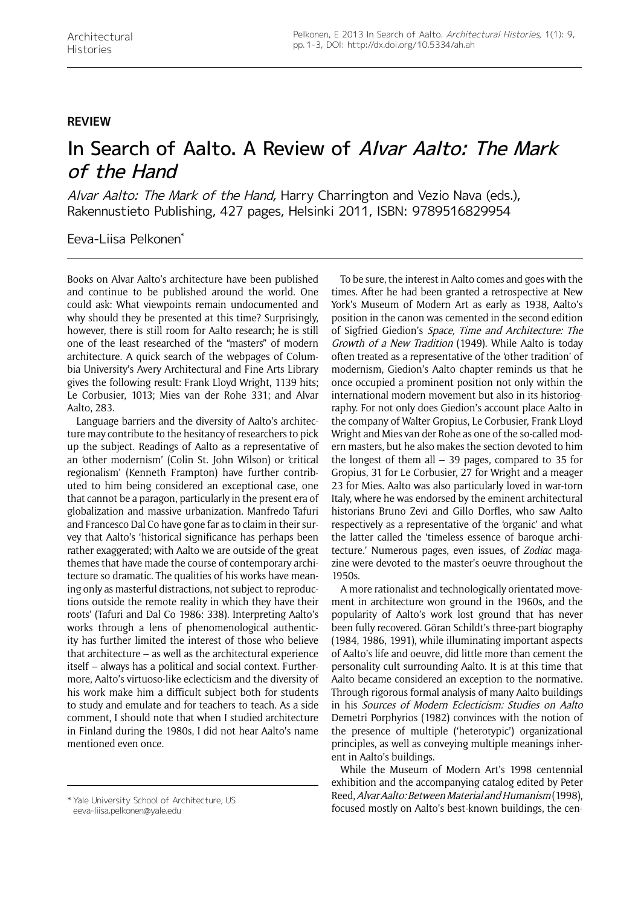## **review**

## In Search of Aalto. A Review of Alvar Aalto: The Mark of the Hand

Alvar Aalto: The Mark of the Hand, Harry Charrington and Vezio Nava (eds.), Rakennustieto Publishing, 427 pages, Helsinki 2011, ISBN: 9789516829954

Eeva-Liisa Pelkonen\*

Books on Alvar Aalto's architecture have been published and continue to be published around the world. One could ask: What viewpoints remain undocumented and why should they be presented at this time? Surprisingly, however, there is still room for Aalto research; he is still one of the least researched of the "masters" of modern architecture. A quick search of the webpages of Columbia University's Avery Architectural and Fine Arts Library gives the following result: Frank Lloyd Wright, 1139 hits; Le Corbusier, 1013; Mies van der Rohe 331; and Alvar Aalto, 283.

Language barriers and the diversity of Aalto's architecture may contribute to the hesitancy of researchers to pick up the subject. Readings of Aalto as a representative of an 'other modernism' (Colin St. John Wilson) or 'critical regionalism' (Kenneth Frampton) have further contributed to him being considered an exceptional case, one that cannot be a paragon, particularly in the present era of globalization and massive urbanization. Manfredo Tafuri and Francesco Dal Co have gone far as to claim in their survey that Aalto's 'historical significance has perhaps been rather exaggerated; with Aalto we are outside of the great themes that have made the course of contemporary architecture so dramatic. The qualities of his works have meaning only as masterful distractions, not subject to reproductions outside the remote reality in which they have their roots' (Tafuri and Dal Co 1986: 338). Interpreting Aalto's works through a lens of phenomenological authenticity has further limited the interest of those who believe that architecture – as well as the architectural experience itself – always has a political and social context. Furthermore, Aalto's virtuoso-like eclecticism and the diversity of his work make him a difficult subject both for students to study and emulate and for teachers to teach. As a side comment, I should note that when I studied architecture in Finland during the 1980s, I did not hear Aalto's name mentioned even once.

To be sure, the interest in Aalto comes and goes with the times. After he had been granted a retrospective at New York's Museum of Modern Art as early as 1938, Aalto's position in the canon was cemented in the second edition of Sigfried Giedion's Space, Time and Architecture: The Growth of a New Tradition (1949). While Aalto is today often treated as a representative of the 'other tradition' of modernism, Giedion's Aalto chapter reminds us that he once occupied a prominent position not only within the international modern movement but also in its historiography. For not only does Giedion's account place Aalto in the company of Walter Gropius, Le Corbusier, Frank Lloyd Wright and Mies van der Rohe as one of the so-called modern masters, but he also makes the section devoted to him the longest of them all – 39 pages, compared to 35 for Gropius, 31 for Le Corbusier, 27 for Wright and a meager 23 for Mies. Aalto was also particularly loved in war-torn Italy, where he was endorsed by the eminent architectural historians Bruno Zevi and Gillo Dorfles, who saw Aalto respectively as a representative of the 'organic' and what the latter called the 'timeless essence of baroque architecture.' Numerous pages, even issues, of *Zodiac* magazine were devoted to the master's oeuvre throughout the 1950s.

A more rationalist and technologically orientated movement in architecture won ground in the 1960s, and the popularity of Aalto's work lost ground that has never been fully recovered. Göran Schildt's three-part biography (1984, 1986, 1991), while illuminating important aspects of Aalto's life and oeuvre, did little more than cement the personality cult surrounding Aalto. It is at this time that Aalto became considered an exception to the normative. Through rigorous formal analysis of many Aalto buildings in his Sources of Modern Eclecticism: Studies on Aalto Demetri Porphyrios (1982) convinces with the notion of the presence of multiple ('heterotypic') organizational principles, as well as conveying multiple meanings inherent in Aalto's buildings.

While the Museum of Modern Art's 1998 centennial exhibition and the accompanying catalog edited by Peter Reed, Alvar Aalto: Between Material and Humanism (1998), keed, Alvar Aalto: Between Material and Humanism (1998),<br>focused mostly on Aalto's best-known buildings, the cen-<br>focused mostly on Aalto's best-known buildings, the cen-

eeva-liisa.pelkonen@yale.edu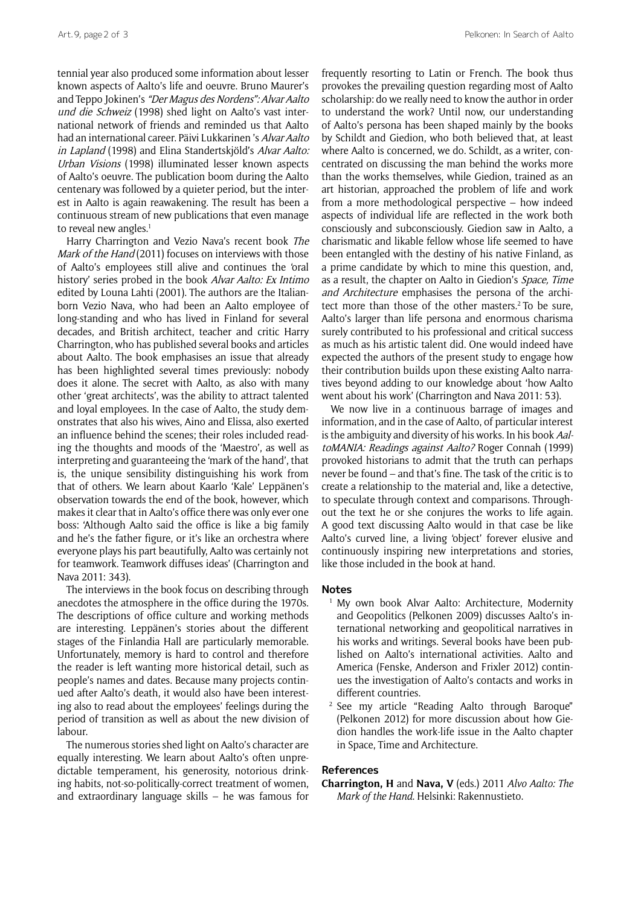tennial year also produced some information about lesser known aspects of Aalto's life and oeuvre. Bruno Maurer's and Teppo Jokinen's "Der Magus des Nordens": Alvar Aalto und die Schweiz (1998) shed light on Aalto's vast international network of friends and reminded us that Aalto had an international career. Päivi Lukkarinen 's Alvar Aalto in Lapland (1998) and Elina Standertskjöld's Alvar Aalto: Urban Visions (1998) illuminated lesser known aspects of Aalto's oeuvre. The publication boom during the Aalto centenary was followed by a quieter period, but the interest in Aalto is again reawakening. The result has been a continuous stream of new publications that even manage to reveal new angles.<sup>1</sup>

Harry Charrington and Vezio Nava's recent book The Mark of the Hand (2011) focuses on interviews with those of Aalto's employees still alive and continues the 'oral history' series probed in the book Alvar Aalto: Ex Intimo edited by Louna Lahti (2001). The authors are the Italianborn Vezio Nava, who had been an Aalto employee of long-standing and who has lived in Finland for several decades, and British architect, teacher and critic Harry Charrington, who has published several books and articles about Aalto. The book emphasises an issue that already has been highlighted several times previously: nobody does it alone. The secret with Aalto, as also with many other 'great architects', was the ability to attract talented and loyal employees. In the case of Aalto, the study demonstrates that also his wives, Aino and Elissa, also exerted an influence behind the scenes; their roles included reading the thoughts and moods of the 'Maestro', as well as interpreting and guaranteeing the 'mark of the hand', that is, the unique sensibility distinguishing his work from that of others. We learn about Kaarlo 'Kale' Leppänen's observation towards the end of the book, however, which makes it clear that in Aalto's office there was only ever one boss: 'Although Aalto said the office is like a big family and he's the father figure, or it's like an orchestra where everyone plays his part beautifully, Aalto was certainly not for teamwork. Teamwork diffuses ideas' (Charrington and Nava 2011: 343).

The interviews in the book focus on describing through anecdotes the atmosphere in the office during the 1970s. The descriptions of office culture and working methods are interesting. Leppänen's stories about the different stages of the Finlandia Hall are particularly memorable. Unfortunately, memory is hard to control and therefore the reader is left wanting more historical detail, such as people's names and dates. Because many projects continued after Aalto's death, it would also have been interesting also to read about the employees' feelings during the period of transition as well as about the new division of labour.

The numerous stories shed light on Aalto's character are equally interesting. We learn about Aalto's often unpredictable temperament, his generosity, notorious drinking habits, not-so-politically-correct treatment of women, and extraordinary language skills – he was famous for frequently resorting to Latin or French. The book thus provokes the prevailing question regarding most of Aalto scholarship: do we really need to know the author in order to understand the work? Until now, our understanding of Aalto's persona has been shaped mainly by the books by Schildt and Giedion, who both believed that, at least where Aalto is concerned, we do. Schildt, as a writer, concentrated on discussing the man behind the works more than the works themselves, while Giedion, trained as an art historian, approached the problem of life and work from a more methodological perspective – how indeed aspects of individual life are reflected in the work both consciously and subconsciously. Giedion saw in Aalto, a charismatic and likable fellow whose life seemed to have been entangled with the destiny of his native Finland, as a prime candidate by which to mine this question, and, as a result, the chapter on Aalto in Giedion's Space, Time and Architecture emphasises the persona of the architect more than those of the other masters.<sup>2</sup> To be sure, Aalto's larger than life persona and enormous charisma surely contributed to his professional and critical success as much as his artistic talent did. One would indeed have expected the authors of the present study to engage how their contribution builds upon these existing Aalto narratives beyond adding to our knowledge about 'how Aalto went about his work' (Charrington and Nava 2011: 53).

We now live in a continuous barrage of images and information, and in the case of Aalto, of particular interest is the ambiguity and diversity of his works. In his book AaltoMANIA: Readings against Aalto? Roger Connah (1999) provoked historians to admit that the truth can perhaps never be found – and that's fine. The task of the critic is to create a relationship to the material and, like a detective, to speculate through context and comparisons. Throughout the text he or she conjures the works to life again. A good text discussing Aalto would in that case be like Aalto's curved line, a living 'object' forever elusive and continuously inspiring new interpretations and stories, like those included in the book at hand.

## **Notes**

- My own book Alvar Aalto: Architecture, Modernity and Geopolitics (Pelkonen 2009) discusses Aalto's international networking and geopolitical narratives in his works and writings. Several books have been published on Aalto's international activities. Aalto and America (Fenske, Anderson and Frixler 2012) continues the investigation of Aalto's contacts and works in different countries.
- <sup>2</sup> See my article "Reading Aalto through Baroque" (Pelkonen 2012) for more discussion about how Giedion handles the work-life issue in the Aalto chapter in Space, Time and Architecture.

## **References**

**Charrington, H** and **Nava, V** (eds.) 2011 *Alvo Aalto: The Mark of the Hand*. Helsinki: Rakennustieto.